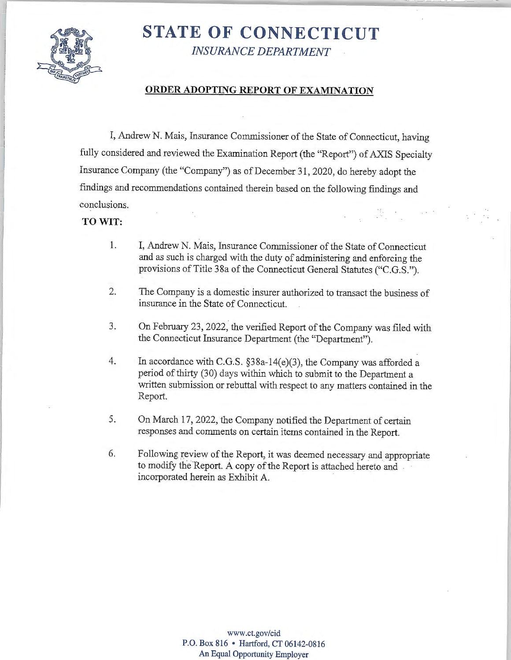

# **STATE OF CONNECTICUT**  *INSURANCE DEPARTMENT*

### **ORDER ADOPTING REPORT OF EXAMINATION**

I, Andrew N. Mais, Insurance Commissioner of the State of Connecticut, having fully considered and reviewed the Examination Report (the "Report") of AXIS Specialty Insurance Company (the "Company") as of December 31, 2020, do hereby adopt the findings and recommendations contained therein based on the following findings and conclusions.

### **TO WIT:**

- 1. I, Andrew N. Mais, Insurance Commissioner of the State of Connecticut and as such is charged with the duty of administering and enforcing the provisions of Title 38a of the Connecticut General Statutes ("C.G.S.").
- 2. The Company is a domestic insurer authorized to transact the business of insurance in the State of Connecticut.
- 3. On February 23, 2022, the verified Report of the Company was filed with the Connecticut Insurance Department (the "Department").
- 4. In accordance with C.G.S. §38a-14(e)(3), the Company was afforded a period of thirty (30) days within which to submit to the Department a written submission or rebuttal with respect to any matters contained in the Report.
- 5. On March 17, 2022, the Company notified the Department of certain responses and comments on certain items contained in the Report.
- 6. Following review of the Report, it was deemed necessary and appropriate to modify the Report. A copy of the Report is attached hereto and . incorporated herein as Exhibit A.

**www .ct.gov/cid P.O. Box 816** • **Hartford, CT 06142-0816 An Equal Opportunity Employer**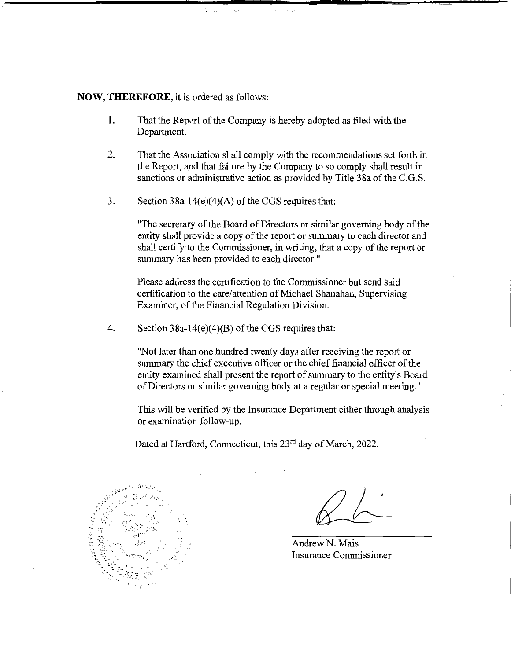#### **NOW, THEREFORE,** it is ordered as follows:

- 1. That the Report of the Company is hereby adopted as filed with the Department.
- 2. That the Association shall comply with the recommendations set forth in the Report, and that failure by the Company to so comply shall result in sanctions or administrative action as provided by Title 38a of the C.G.S.
- 3. Section  $38a-14(e)(4)(A)$  of the CGS requires that:

"The secretary of the Board of Directors or similar governing body of the entity shall provide a copy of the report or summary to each director and shall certify to the Commissioner, in writing, that a copy of the report or summary has been provided to each director."

Please address the certification to the Commissioner but send said certification to the care/attention of Michael Shanahan, Supervising Examiner, of the Financial Regulation Division.

4. Section  $38a-14(e)(4)(B)$  of the CGS requires that:

"Not later than one hundred twenty days after receiving the report or summary the chief executive officer or the chief financial officer of the entity examined shall present the report of summary to the entity's Board of Directors or similar governing body at a regular or special meeting."

This will be verified by the Insurance Department either through analysis or examination follow-up.

Dated at Hartford, Connecticut, this 23<sup>rd</sup> day of March, 2022.



AndrewN. Mais Insurance Commissioner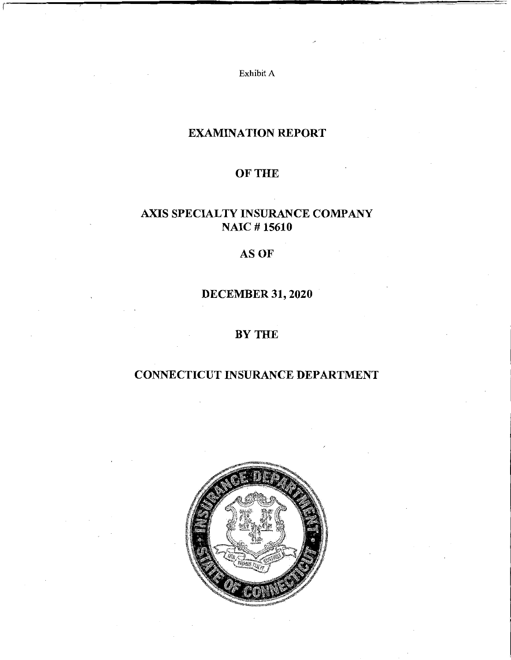Exhibit A

# EXAMINATION REPORT

# OF THE

# AXIS SPECIALTY INSURANCE COMPANY NAIC # 15610

# **AS OF**

# DECEMBER 31, 2020

# BYTHE

# CONNECTICUT INSURANCE DEPARTMENT

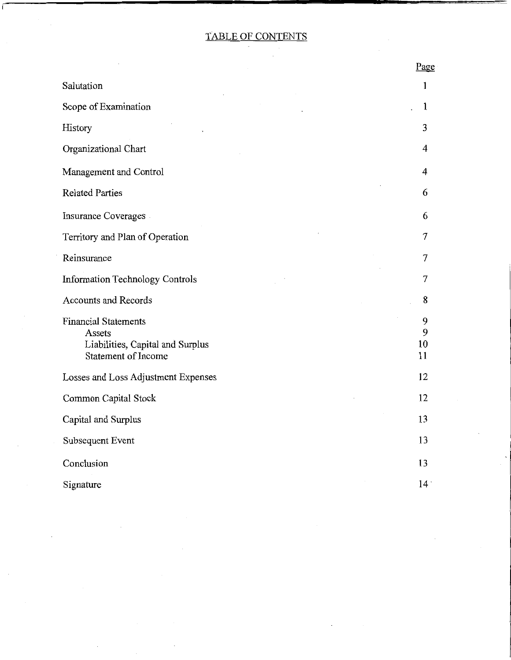# TABLE OF CONTENTS

 $\sim$ 

 $\epsilon$ 

 $\frac{1}{2} \frac{1}{2} \frac{d^2}{dx^2}$ 

 $\overline{\phantom{a}}$ 

|                                                                                                         | Page               |
|---------------------------------------------------------------------------------------------------------|--------------------|
| Salutation                                                                                              | 1                  |
| Scope of Examination                                                                                    | $\mathbf{1}$       |
| History                                                                                                 | 3                  |
| Organizational Chart                                                                                    | 4                  |
| Management and Control                                                                                  | 4                  |
| <b>Related Parties</b>                                                                                  | 6                  |
| Insurance Coverages                                                                                     | 6                  |
| Territory and Plan of Operation                                                                         | $\overline{7}$     |
| Reinsurance                                                                                             | 7                  |
| <b>Information Technology Controls</b>                                                                  | 7                  |
| <b>Accounts and Records</b>                                                                             | 8                  |
| <b>Financial Statements</b><br>Assets<br>Liabilities, Capital and Surplus<br><b>Statement of Income</b> | 9<br>9<br>10<br>11 |
| Losses and Loss Adjustment Expenses                                                                     | 12                 |
| <b>Common Capital Stock</b>                                                                             | 12                 |
| Capital and Surplus                                                                                     | 13                 |
| Subsequent Event                                                                                        | 13                 |
| Conclusion                                                                                              | 13                 |
| Signature                                                                                               | 14 <sup>°</sup>    |

 $\overline{\phantom{a}}$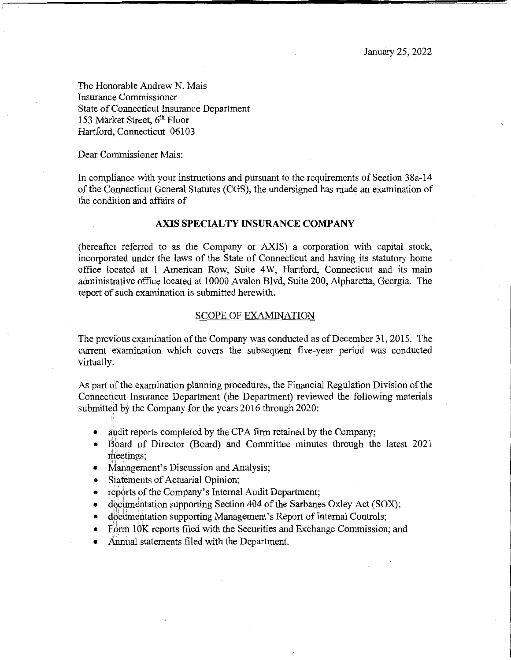The Honorable Andrew N. Mais Insurance Commissioner State of Connecticut Insurance Department 153 Market Street, 6<sup>th</sup> Floor Hartford, Connecticut 06103

Dear Commissioner Mais:

In compliance with your instructions and pursuant to the requirements of Section 38a-14 of the Connecticut General Statutes (CGS), the undersigned has made an examination of the condition and affairs of

#### **AXIS SPECIALTY INSURANCE COMPANY**

(hereafter referred to as the Company or AXIS) a corporation with capital stock, incorporated under the laws of the State of Connecticut and having its statutory home office located at 1 American Row, Suite 4W, Hartford, Connecticut and its main administrative office located at 10000 Avalon Blvd, Suite 200, Alpharetta, Georgia. The report of such examination is submitted herewith.

#### SCOPE OF EXAMINATION

The previous examination of the Company was conducted as of December 31, 2015. The current examination which covers the subsequent five-year period was conducted virtually.

As part of the examination planning procedures, the Financial Regulation Division of the Connecticut Insurance Department (the Department) reviewed the following materials submitted by the Company for the years 2016 through 2020:

- audit reports completed by the CPA firm retained by the Company;
- Board of Director (Board) and Committee minutes through the latest 2021 meetings;
- Management's Discussion and Analysis;<br>• Statements of Actuarial Oninion:
- Statements of Actuarial Opinion;
- reports of the Company's Internal Audit Department;
- documentation supporting Section 404 of the Sarbanes Oxley Act (SOX);
- documentation supporting Management's Report of Internal Controls;
- Form 10K reports filed with the Securities and Exchange Commission; and
- Annual statements filed with the Department.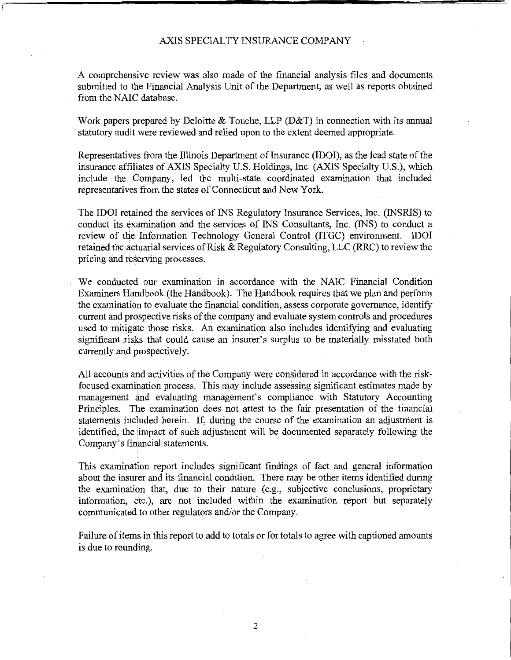A comprehensive review was also made of the financial analysis files and documents submitted to the Financial Analysis Unit of the Department, as well as reports obtained from the NAIC database.

Work papers prepared by Deloitte & Touche, LLP (D&T) in connection with its annual statutory audit were reviewed and relied upon to the extent deemed appropriate.

Representatives from the Illinois Department of Insurance (IDOI), as the lead state of the insurance affiliates of AXIS Specialty U.S. Holdings, Inc. (AXIS Specialty U.S.), which include the Company, led the multi-state coordinated examination that included representatives from the states of Connecticut and New York.

The IDOI retained the services of INS Regulatory Insurance Services, Inc. (INSRIS) to conduct its examination and the services of INS Consultants, Inc. (INS) to conduct a review of the Information Technology General Control (ITGC) environment. IDOI retained the actuarial services of Risk  $\&$  Regulatory Consulting, LLC (RRC) to review the pricing and reserving processes.

We conducted our examination in accordance with the NAIC Financial Condition Examiners Handbook (the Handbook). The Handbook requires that we plan and perform the examination to evaluate the financial condition, assess corporate governance, identify current and prospective risks of the company and evaluate system controls and procedures used to mitigate those risks. An examination also includes identifying and evaluating significant risks that could cause an insurer's surplus to be materially misstated both currently and prospectively.

All accounts and activities of the Company were considered in accordance with the riskfocused examination process. This may include assessing significant estimates made by management and evaluating management's compliance with Statutory Accounting Principles. The examination does not attest to the fair presentation of the financial statements included herein. If, during the course of the examination an adjustment is identified, the impact of such adjustment will be documented separately following the Company's financial statements.

This examination report includes significant findings of fact and general information about the insurer and its financial condition. There may be other items identified during the examination that, due to their nature (e.g., subjective conclusions, proprietary information, etc.), are not included within the examination report but separately communicated to other regulators and/or the Company.

Failure of items in this report to add to totals or for totals to agree with captioned amounts is due to rounding.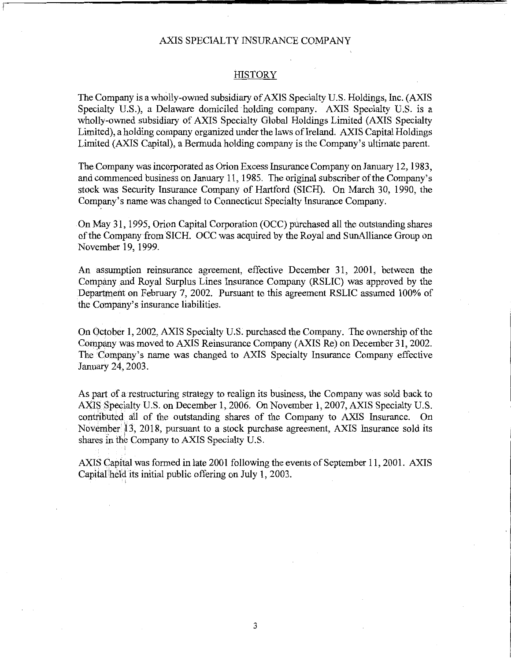#### **HISTORY**

The Company is a wholly-owned subsidiary of AXIS Specialty U.S. Holdings, Inc. (AXIS Specialty U.S.), a Delaware domiciled holding company. AXIS Specialty U.S. is a wholly-owned subsidiary of AXIS Specialty Global Holdings Limited (AXIS Specialty Limited), a holding company organized under the laws of Ireland. AXIS Capital Holdings Limited (AXIS Capital), a Bermuda holding company is the Company's ultimate parent.

The Company was incorporated as Orion Excess Insurance Company on January 12, 1983, and commenced business on January 11, 1985. The original subscriber ofthe Company's stock was Security Insurance Company of Hartford (SICH). On March 30, 1990, the Company's name was changed to Connecticut Specialty Insurance Company.

On May 31, 1995, Orion Capital Corporation (OCC) purchased all the outstanding shares ofthe Company from SICH. OCC was acquired by the Royal and SunAlliance Group on November 19, 1999.

An assumption reinsurance agreement, effective December 31, 2001, between the Company and Royal Surplus Lines Insurance Company (RSLIC) was approved by the Department on February 7, 2002. Pursuant to this agreement RSLIC assumed 100% of the Company's insurance liabilities.

On October 1, 2002, AXIS Specialty U.S. purchased the Company. The ownership ofthe Company was moved to AXIS Reinsurance Company (AXIS Re) on December 31, 2002. The Company's name was changed to AXIS Specialty Insurance Company effective January 24, 2003.

As part of a restructuring strategy to realign its business, the Company was sold back to AXIS Specialty U.S. on December 1, 2006. On November 1, 2007, AXIS Specialty U.S. contributed all of the outstanding shares of the Company to AXIS Insurance. On November<sup>1</sup> 13, 2018, pursuant to a stock purchase agreement, AXIS Insurance sold its shares in the Company to AXIS Specialty U.S.

AXIS Capital was formed in late 2001 following the events of September 11, 2001. AXIS Capital'hel'd its initial public offering on July 1, 2003.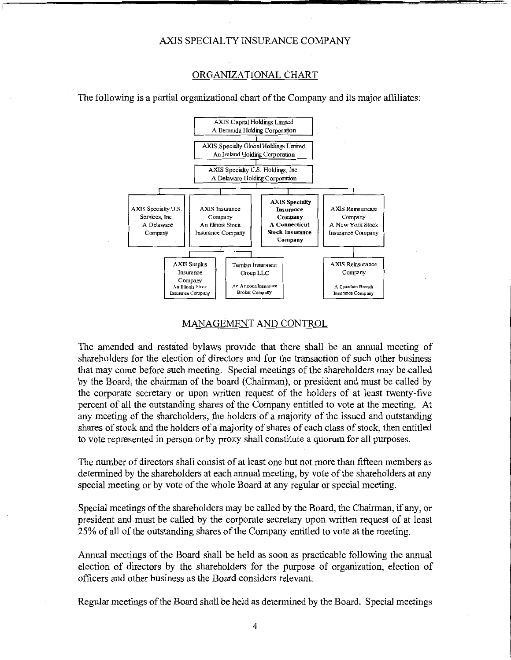#### ORGANIZATIONAL CHART

The following is a partial organizational chart of the Company and its major affiliates:



#### MANAGEMENT AND CONTROL

The amended and restated bylaws provide that there shall be an annual meeting of shareholders for the election of directors and for the transaction of such other business that may come before such meeting. Special meetings of the shareholders may be called by the Board, the chairman of the board (Chairman), or president and must be called by the corporate secretary or upon written request of the holders of at least twenty-five percent of all the outstanding shares of the Company entitled to vote at the meeting. At any meeting of the shareholders, the holders of a majority of the issued and outstanding shares of stock and the holders of a majority of shares of each class of stock, then entitled to vote represented in person or by proxy shall constitute a quorum for all purposes.

The number of directors shall consist of at least one but not more than fifteen members as determined by the shareholders at each annual meeting, by vote of the shareholders at any special meeting or by vote of the whole Board at any regular or special meeting.

Special meetings of the shareholders may be called by the Board, the Chairman, if any, or president and must be called by the corporate secretary upon written request of at least 25% of all ofthe outstanding shares of the Company entitled to vote at the meeting.

Annual meetings of the Board shall be held as soon as practicable following the annual election of directors by the shareholders for the purpose of organization, election of officers and other business as the Board considers relevant.

Regular meetings ofthe Board shall be held as determined by the Board. Special meetings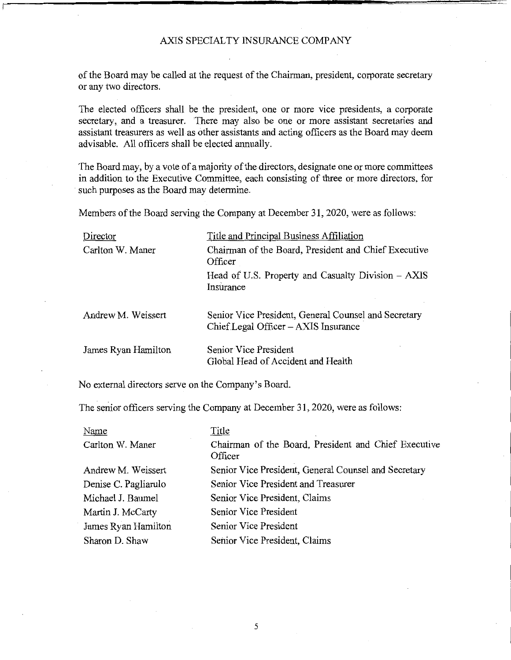of the Board may be called at the request of the Chairman, president, corporate secretary or any two directors.

The elected officers shall be the president, one or more vice presidents, a corporate secretary, and a treasurer. There may also be one or more assistant secretaries and assistant treasurers as well as other assistants and acting officers as the Board may deem advisable. All officers shall be elected annually.

The Board may, by a vote of a majority of the directors, designate one or more committees in addition to the Executive Committee, each consisting of three or more directors, for such purposes as the Board may determine.

Members of the Board serving the Company at December 31, 2020, were as follows:

| Director            | Title and Principal Business Affiliation                                                         |
|---------------------|--------------------------------------------------------------------------------------------------|
| Carlton W. Maner    | Chairman of the Board, President and Chief Executive<br>Officer                                  |
|                     | Head of U.S. Property and Casualty Division – AXIS<br>Insurance                                  |
| Andrew M. Weissert  | Senior Vice President, General Counsel and Secretary<br>$Chief$ Legal Officer $-$ AXIS Insurance |
| James Ryan Hamilton | Senior Vice President<br>Global Head of Accident and Health                                      |

No external directors serve on the Company's Board.

The senior officers serving the Company at December 31, 2020, were as follows:

| Name                 | Title                                                           |
|----------------------|-----------------------------------------------------------------|
| Carlton W. Maner     | Chairman of the Board, President and Chief Executive<br>Officer |
| Andrew M. Weissert   | Senior Vice President, General Counsel and Secretary            |
| Denise C. Pagliarulo | Senior Vice President and Treasurer                             |
| Michael J. Baumel    | Senior Vice President, Claims                                   |
| Martin J. McCarty    | Senior Vice President                                           |
| James Ryan Hamilton  | Senior Vice President                                           |
| Sharon D. Shaw       | Senior Vice President, Claims                                   |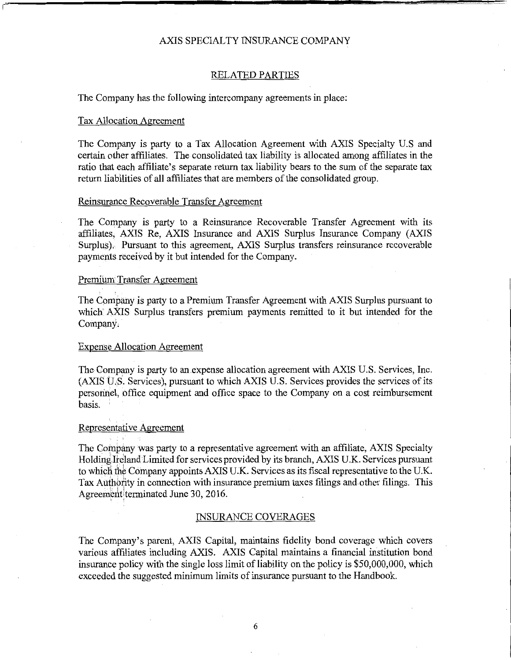#### RELATED PARTIES

The Company has the following intercompany agreements in place:

#### Tax Allocation Agreement

The Company is party to a Tax Allocation Agreement with AXIS Specialty U.S and certain other affiliates. The consolidated tax liability is allocated among affiliates in the ratio that each affiliate's separate return tax liability bears to the sum of the separate tax return liabilities of all affiliates that are members of the consolidated group.

#### Reinsurance Recoverable Transfer Agreement

The Company is party to a Reinsurance Recoverable Transfer Agreement with its affiliates, AXIS Re, AXIS Insurance and AXIS Surplus Insurance Company (AXIS Surplus). Pursuant to this agreement, AXIS Surplus transfers reinsurance recoverable payments received by it but intended for the Company.

#### Premium Transfer Agreement

The Company is party to a Premium Transfer Agreement with AXIS Surplus pursuant to which' AXIS Surplus transfers premium payments remitted to it but intended for the Company;

#### Expense Allocation Agreement

The Company is party to an expense allocation agreement with AXIS U.S. Services, Inc.  $(AXIS \tU.S.$  Services), pursuant to which AXIS U.S. Services provides the services of its personnel, office equipment and office space to the Company on a cost reimbursement basis.

#### Representative Agreement

The Company was party to a representative agreement with an affiliate, AXIS Specialty Holding Ireland Limited for services provided by its branch, AXIS U.K. Services pursuant to which the Company appoints AXIS U.K. Services as its fiscal representative to the U.K. Tax Authority in connection with insurance premium taxes filings and other filings. This Agreement terminated June 30, 2016.

#### INSURANCE COVERAGES

The Company's parent, AXIS Capital, maintains fidelity bond coverage which covers various affiliates including AXIS. AXIS Capital maintains a financial institution bond insurance policy with the single loss limit of liability on the policy is \$50,000,000, which exceeded the suggested minimum limits of insurance pursuant to the Handbook.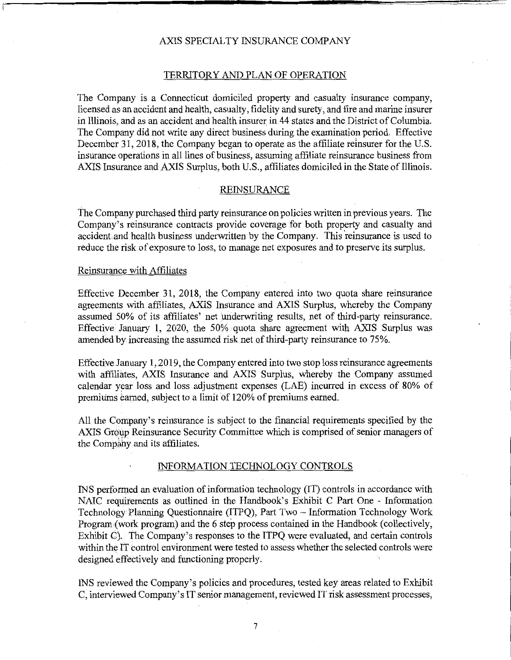#### TERRITORY AND PLAN OF OPERATION

The Company is a Connecticut domiciled property and casualty insurance company, licensed as an accident and health, casualty, fidelity and surety, and fire and marine insurer in Illinois, and as an accident and health insurer in 44 states and the District of Columbia. The Company did not write any direct business during the examination period. Effective December 31, 2018, the Company began to operate as the affiliate reinsurer for the U.S. insurance operations in all lines of business, assuming affiliate reinsurance business from AXIS Insurance and AXIS Surplus, both U.S., affiliates domiciled in the State of Illinois.

#### REINSURANCE

The Company purchased third party reinsurance on policies written in previous years. The Company's reinsurance contracts provide coverage for both property and casualty and accident.and health business underwritten by the Company. This 'reinsurance is used to reduce the risk of exposure to loss, to manage net exposures and to preserve its surplus.

#### Reinsurance with Affiliates

Effective December 31, 2018, the Company entered into two quota share reinsurance agreements with affiliates, AXIS Insurance and AXIS Surplus, whereby the Company assumed 50% of its affiliates' net miderwriting results, net of third-party reinsurance. Effective. January I, 2020, the 50% quota share agreement with AXIS Surplus was amended by increasing the assumed risk net of third-party reinsurance to 75%.

Effective January I, 2019, the Company entered into two stop loss reinsurance agreements with affiliates, AXIS Insurance and AXIS Surplus, whereby the Company assumed calendar year loss and loss adjustment expenses (LAE) incurred in excess of 80% of premiums earned, subject to a limit of 120% of premiums earned.

All the Company's reinsurance is subject to the financial requirements specified by the AXIS Group Reinsurance Security Committee which is comprised of senior managers of the Company and its affiliates.

#### INFORMATION TECHNOLOGY CONTROLS

INS performed an evaluation of information technology (IT) controls in accordance with NAIC requirements as outlined in the Handbook's Exhibit C Part One - Information Technology Planning Questionnaire (ITPQ), Part Two - Information Technology Work Program(work program) and the 6 step process contained in the Handbook (collectively, Exhibit C). The Company's responses to the ITPQ were evaluated, and certain controls within the IT control environment were tested to assess whether the selected controls were designed effectively and functioning properly.

INS reviewed the Company's policies and procedures, tested key areas related to Exhibit C, interviewed Company's IT senior management, reviewed IT risk assessment processes,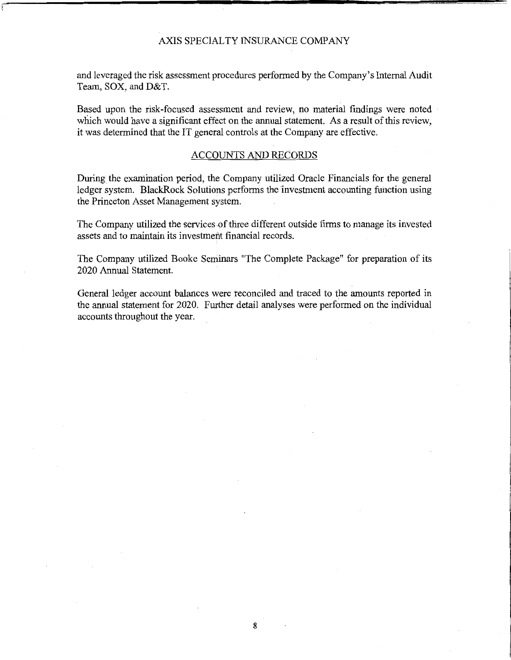and leveraged the risk assessment procedures performed by the Company's Internal Audit Team, **SOX,** and D&T.

Based upon the risk-focused assessment and review, no material findings were noted which would have a significant effect on the annual statement. As a result of this review, it was determined that the IT general controls at the Company are effective.

#### ACCOUNTS AND RECORDS

During the examination period, the Company utilized Oracle Financials for the general ledger system. BlackRock Solutions performs the investment accounting function using the Princeton Asset Management system.

The Company utilized the [services.of](https://services.of) three different outside firms to manage its invested assets and to maintain its investment financial records.

The Company utilized Booke Seminars "The Complete Package" for preparation of its 2020 Annual Statement.

General ledger account balances were reconciled and traced to the amounts reported in the annual statement for 2020. Further detail analyses were performed on the individual accounts throughout the year.

8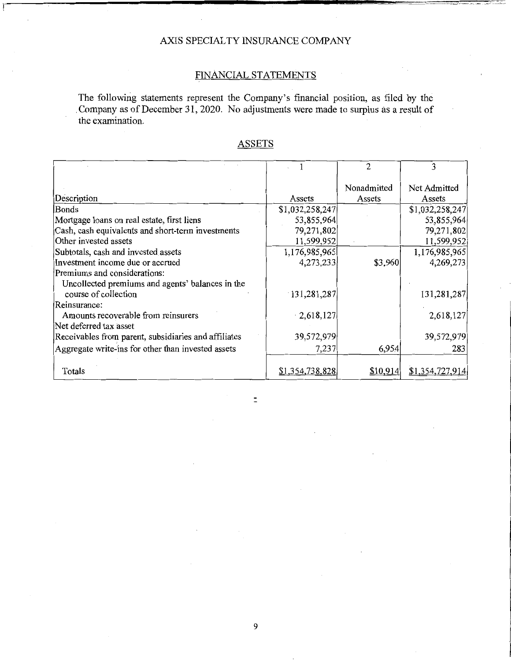## FINANCIAL STATEMENTS

The following statements represent the Company's financial position, as filed by the Company as of December 31, 2020. No adjustments were made to surplus as a result of the examination.

|                                                      |                 | $\mathfrak{D}$ | 3               |
|------------------------------------------------------|-----------------|----------------|-----------------|
|                                                      |                 | Nonadmitted    | Net Admitted    |
| Description                                          | Assets          | Assets         | Assets          |
| Bonds                                                | \$1,032,258,247 |                | \$1,032,258,247 |
| Mortgage loans on real estate, first liens           | 53,855,964      |                | 53,855,964      |
| Cash, cash equivalents and short-term investments    | 79,271,802      |                | 79,271,802      |
| Other invested assets                                | 11,599,952      |                | 11,599,952      |
| Subtotals, cash and invested assets                  | 1,176,985,965   |                | 1,176,985,965   |
| Investment income due or accrued                     | 4,273,233       | \$3,960        | 4,269,273       |
| Premiums and considerations:                         |                 |                |                 |
| Uncollected premiums and agents' balances in the     |                 |                |                 |
| course of collection                                 | 131,281,287     |                | 131,281,287     |
| Reinsurance:                                         |                 |                |                 |
| Amounts recoverable from reinsurers                  | $-2,618,127$    |                | 2,618,127       |
| Net deferred tax asset                               |                 |                |                 |
| Receivables from parent, subsidiaries and affiliates | 39,572,979      |                | 39,572,979      |
| Aggregate write-ins for other than invested assets   | 7,237           | 6,954          | 283             |
|                                                      |                 |                |                 |
| Totals                                               | \$1,354,738,828 | \$10,914       | \$1,354,727,914 |

 $\bar{\Xi}$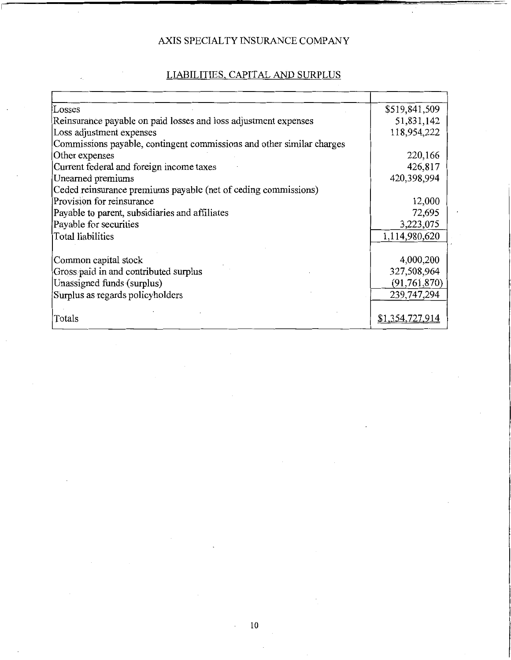# LIABILITIES, CAPITAL AND SURPLUS

| Losses                                                                | \$519,841,509   |
|-----------------------------------------------------------------------|-----------------|
| Reinsurance payable on paid losses and loss adjustment expenses       | 51,831,142      |
| Loss adjustment expenses                                              | 118,954,222     |
| Commissions payable, contingent commissions and other similar charges |                 |
| Other expenses                                                        | 220,166         |
| Current federal and foreign income taxes                              | 426,817         |
| Unearned premiums                                                     | 420,398,994     |
| Ceded reinsurance premiums payable (net of ceding commissions)        |                 |
| Provision for reinsurance                                             | 12,000          |
| Payable to parent, subsidiaries and affiliates                        | 72,695          |
| Payable for securities                                                | 3,223,075       |
| <b>Total liabilities</b>                                              | 1,114,980,620   |
|                                                                       |                 |
| Common capital stock                                                  | 4,000,200       |
| Gross paid in and contributed surplus                                 | 327,508,964     |
| Unassigned funds (surplus)                                            | (91, 761, 870)  |
| Surplus as regards policyholders                                      | 239,747,294     |
|                                                                       |                 |
| Totals                                                                | \$1,354,727,914 |

 $\bar{z}$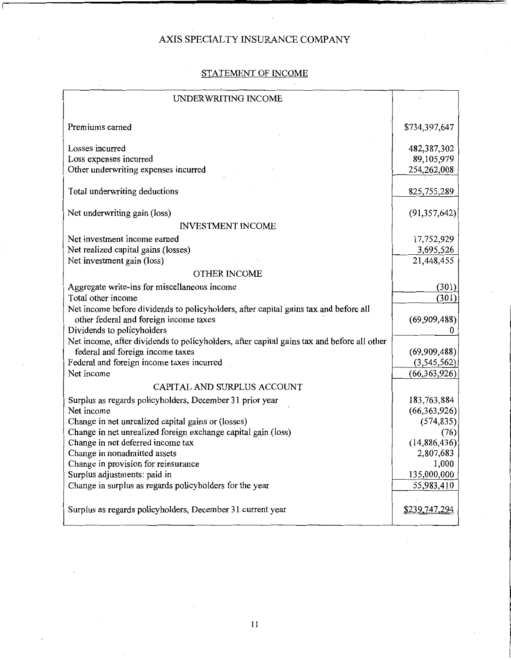## STATEMENT OF INCOME

| UNDERWRITING INCOME                                                                        |                |
|--------------------------------------------------------------------------------------------|----------------|
| Premiums earned                                                                            | \$734,397,647  |
| Losses incurred                                                                            | 482,387,302    |
| Loss expenses incurred                                                                     | 89,105,979     |
| Other underwriting expenses incurred                                                       | 254,262,008    |
| Total underwriting deductions                                                              | 825,755,289    |
| Net underwriting gain (loss)                                                               | (91, 357, 642) |
| <b>INVESTMENT INCOME</b>                                                                   |                |
| Net investment income earned                                                               | 17,752,929     |
| Net realized capital gains (losses)                                                        | 3,695,526      |
| Net investment gain (loss)                                                                 | 21,448,455     |
| <b>OTHER INCOME</b>                                                                        |                |
| Aggregate write-ins for miscellaneous income                                               | (301)          |
| Total other income                                                                         | (301)          |
| Net income before dividends to policyholders, after capital gains tax and before all       |                |
| other federal and foreign income taxes                                                     | (69,909,488)   |
| Dividends to policyholders                                                                 | 0              |
| Net income, after dividends to policyholders, after capital gains tax and before all other |                |
| federal and foreign income taxes                                                           | (69,909,488)   |
| Federal and foreign income taxes incurred                                                  | (3,545,562)    |
| Net income                                                                                 | (66, 363, 926) |
| CAPITAL AND SURPLUS ACCOUNT                                                                |                |
| Surplus as regards policyholders, December 31 prior year                                   | 183,763,884    |
| Net income                                                                                 | (66,363,926)   |
| Change in net unrealized capital gains or (losses)                                         | (574, 835)     |
| Change in net unrealized foreign exchange capital gain (loss)                              | (76)           |
| Change in net deferred income tax                                                          | (14,886,436)   |
| Change in nonadmitted assets                                                               | 2,807,683      |
| Change in provision for reinsurance                                                        | 1,000          |
| Surplus adjustments: paid in                                                               | 135,000,000    |
| Change in surplus as regards policyholders for the year                                    | 55,983,410     |
| Surplus as regards policyholders, December 31 current year                                 | \$239,747,294  |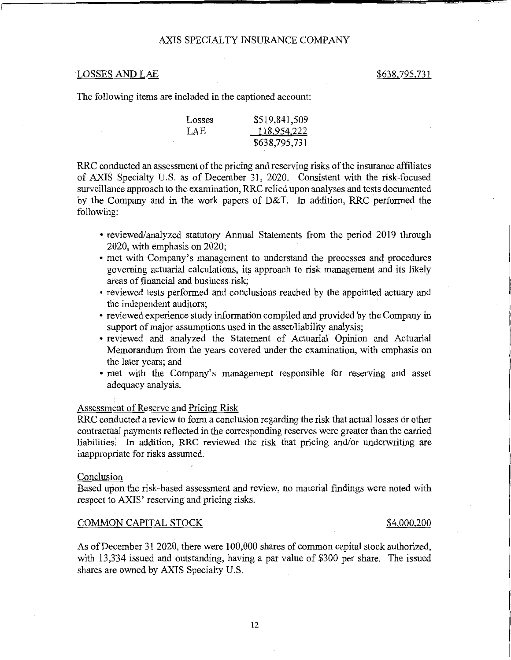### LOSSES AND LAE \$638,795,731

The following items are included in the captioned account:

| Losses | \$519,841,509 |
|--------|---------------|
| LAE    | 118,954,222   |
|        | \$638,795,731 |

RRC conducted an assessment of the pricing and reserving risks of the insurance affiliates of AXIS Specialty U.S. as of December 31, 2020. Consistent with the risk-focused surveillance approach to the examination, RRC relied upon analyses and tests documented by the Company and in the work papers of D&T. In addition, RRC performed the following:

- reviewed/analyzed statutory Annual Statements from the period 2019 through 2020, with emphasis on 2020;
- met with Company's management to understand the processes and procedures governing actuarial calculations, its approach to risk management and its likely areas of financial and business risk;
- reviewed tests performed and conclusions reached by the appointed actuary and the independent auditors;
- reviewed experience study information compiled and provided by the Company in support of major assumptions used in the asset/liability analysis;
- reviewed and analyzed the Statement of Actuarial Opinion and Actuarial Memorandum from the years covered under the examination, with emphasis on the later years; and
- met with the Company's management responsible for reserving and asset adequacy analysis.

#### Assessment of Reserve and Pricing Risk

RRC conducted a review to form a conclusion regarding the risk that actual losses or other contractual payments reflected in the corresponding reserves were greater than the carried liabilities; In addition, RRC reviewed the risk that pricing and/or underwriting are inappropriate for risks assumed.

#### **Conclusion**

Based upon the risk-based assessment and review, no material findings were noted with respect to AXIS' reserving and pricing risks.

#### COMMON CAPITAL STOCK \$4,000,200

As of December 31 2020, there were 100,000 shares of common capital stock authorized, with 13,334 issued and outstanding, having a par value of \$300 per share. The issued shares are owned by AXIS Specialty U.S.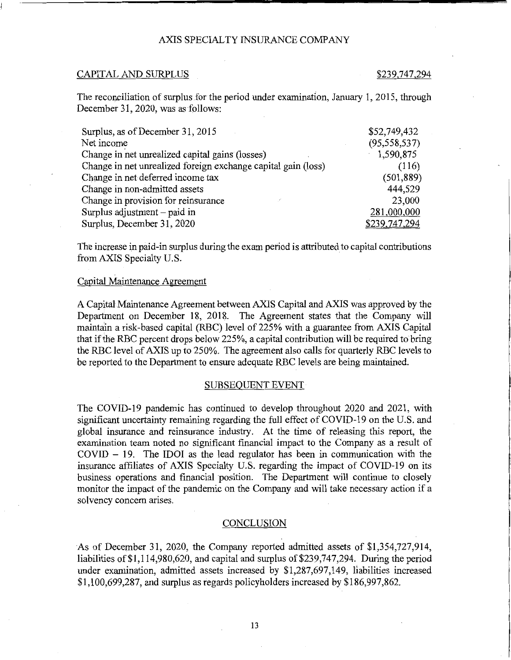#### CAPITAL AND SURPLUS \$239,747,294

The reconciliation of surplus for the period under examination, January I, 2015, through December 31, 2020, was as follows:

| Surplus, as of December 31, 2015                              | \$52,749,432   |
|---------------------------------------------------------------|----------------|
| Net income                                                    | (95, 558, 537) |
| Change in net unrealized capital gains (losses)               | 1,590,875      |
| Change in net unrealized foreign exchange capital gain (loss) | (116)          |
| Change in net deferred income tax                             | (501, 889)     |
| Change in non-admitted assets                                 | 444,529        |
| Change in provision for reinsurance                           | 23,000         |
| Surplus adjustment – paid in                                  | 281,000,000    |
| Surplus, December 31, 2020                                    | \$239,747,294  |

The increase in paid-in surplus during the exam period is attributed to capital contributions from AXIS Specialty U.S.

#### Capital Maintenance Agreement

A Capital Maintenance Agreement between AXIS Capital and AXIS was approved by the Department on December 18, 2018. The Agreement states that the Company will maintain a risk-based capital (RBC) level of 225% with a guarantee from AXIS Capital that if the RBC percent drops below 225%, a capital contribution will be required to bring the RBC level of AXIS up to 250%. The agreement also calls for quarterly RBC levels to be reported to the Department to ensure adequate RBC levels are being maintained.

#### SUBSEQUENT EVENT

The COVID-19 pandemic has continued to develop throughout 2020 and 2021, with significant uncertainty remaining regarding the full effect of COVID-19 on the U.S. and global insurance and reinsurance industry. At the time of releasing this report, the examination team noted no significant financial impact to the Company as a result of  $COVID - 19$ . The IDOI as the lead regulator has been in communication with the insurance affiliates of AXIS Specialty U.S. regarding the impact of COVID-19 on its business operations and financial position. The Department will continue to closely monitor the impact of the pandemic on the Company and will take necessary action if a solvency concern arises.

#### **CONCLUSION**

As of December 31, 2020, the Company reported admitted assets of \$1,354,727,914, liabilities of  $$1,114,980,620$ , and capital and surplus of  $$239,747,294$ . During the period under examination, admitted assets increased by \$1,287,697,149, liabilities increased \$1,100,699,287, and surplus as regards policyholders increased by \$186,997,862.